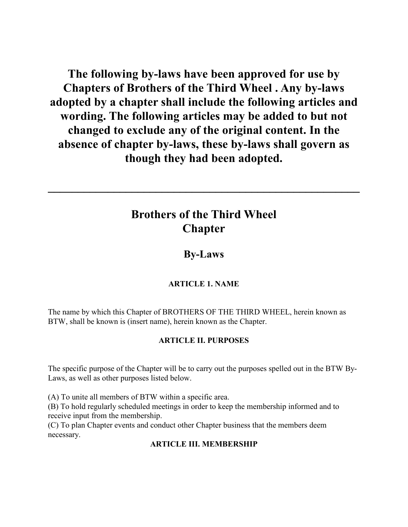The following by-laws have been approved for use by Chapters of Brothers of the Third Wheel . Any by-laws adopted by a chapter shall include the following articles and wording. The following articles may be added to but not changed to exclude any of the original content. In the absence of chapter by-laws, these by-laws shall govern as though they had been adopted.

# Brothers of the Third Wheel Chapter

\_\_\_\_\_\_\_\_\_\_\_\_\_\_\_\_\_\_\_\_\_\_\_\_\_\_\_\_\_\_\_\_\_\_\_\_\_\_\_\_\_\_\_\_\_\_\_\_\_\_\_\_

# By-Laws

## ARTICLE 1. NAME

The name by which this Chapter of BROTHERS OF THE THIRD WHEEL, herein known as BTW, shall be known is (insert name), herein known as the Chapter.

### ARTICLE II. PURPOSES

The specific purpose of the Chapter will be to carry out the purposes spelled out in the BTW By-Laws, as well as other purposes listed below.

(A) To unite all members of BTW within a specific area.

(B) To hold regularly scheduled meetings in order to keep the membership informed and to receive input from the membership.

(C) To plan Chapter events and conduct other Chapter business that the members deem necessary.

#### ARTICLE III. MEMBERSHIP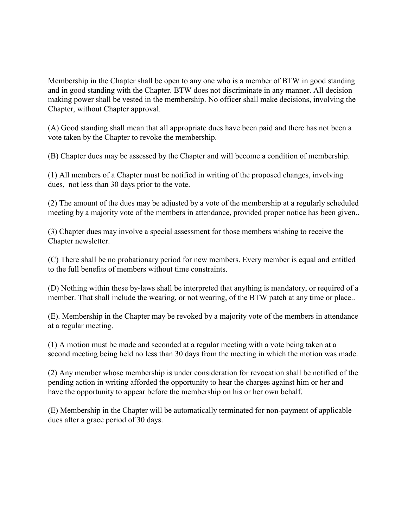Membership in the Chapter shall be open to any one who is a member of BTW in good standing and in good standing with the Chapter. BTW does not discriminate in any manner. All decision making power shall be vested in the membership. No officer shall make decisions, involving the Chapter, without Chapter approval.

(A) Good standing shall mean that all appropriate dues have been paid and there has not been a vote taken by the Chapter to revoke the membership.

(B) Chapter dues may be assessed by the Chapter and will become a condition of membership.

(1) All members of a Chapter must be notified in writing of the proposed changes, involving dues, not less than 30 days prior to the vote.

(2) The amount of the dues may be adjusted by a vote of the membership at a regularly scheduled meeting by a majority vote of the members in attendance, provided proper notice has been given..

(3) Chapter dues may involve a special assessment for those members wishing to receive the Chapter newsletter.

(C) There shall be no probationary period for new members. Every member is equal and entitled to the full benefits of members without time constraints.

(D) Nothing within these by-laws shall be interpreted that anything is mandatory, or required of a member. That shall include the wearing, or not wearing, of the BTW patch at any time or place..

(E). Membership in the Chapter may be revoked by a majority vote of the members in attendance at a regular meeting.

(1) A motion must be made and seconded at a regular meeting with a vote being taken at a second meeting being held no less than 30 days from the meeting in which the motion was made.

(2) Any member whose membership is under consideration for revocation shall be notified of the pending action in writing afforded the opportunity to hear the charges against him or her and have the opportunity to appear before the membership on his or her own behalf.

(E) Membership in the Chapter will be automatically terminated for non-payment of applicable dues after a grace period of 30 days.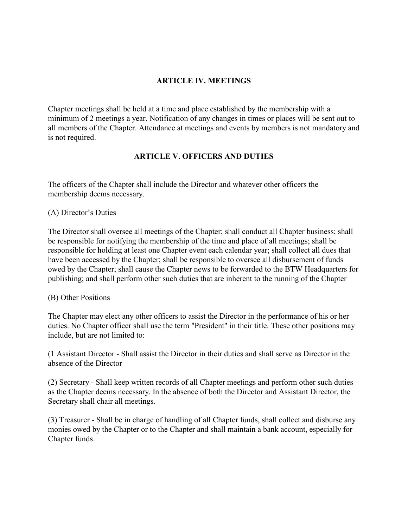#### ARTICLE IV. MEETINGS

Chapter meetings shall be held at a time and place established by the membership with a minimum of 2 meetings a year. Notification of any changes in times or places will be sent out to all members of the Chapter. Attendance at meetings and events by members is not mandatory and is not required.

#### ARTICLE V. OFFICERS AND DUTIES

The officers of the Chapter shall include the Director and whatever other officers the membership deems necessary.

#### (A) Director's Duties

The Director shall oversee all meetings of the Chapter; shall conduct all Chapter business; shall be responsible for notifying the membership of the time and place of all meetings; shall be responsible for holding at least one Chapter event each calendar year; shall collect all dues that have been accessed by the Chapter; shall be responsible to oversee all disbursement of funds owed by the Chapter; shall cause the Chapter news to be forwarded to the BTW Headquarters for publishing; and shall perform other such duties that are inherent to the running of the Chapter

#### (B) Other Positions

The Chapter may elect any other officers to assist the Director in the performance of his or her duties. No Chapter officer shall use the term "President" in their title. These other positions may include, but are not limited to:

(1 Assistant Director - Shall assist the Director in their duties and shall serve as Director in the absence of the Director

(2) Secretary - Shall keep written records of all Chapter meetings and perform other such duties as the Chapter deems necessary. In the absence of both the Director and Assistant Director, the Secretary shall chair all meetings.

(3) Treasurer - Shall be in charge of handling of all Chapter funds, shall collect and disburse any monies owed by the Chapter or to the Chapter and shall maintain a bank account, especially for Chapter funds.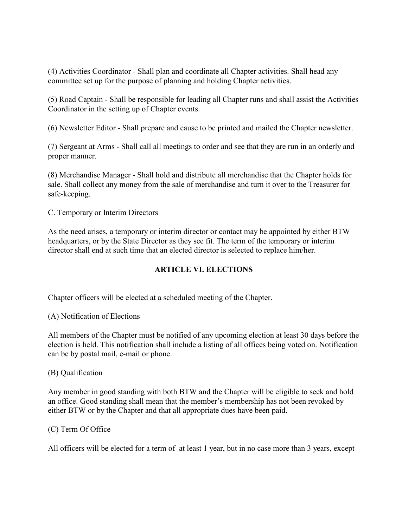(4) Activities Coordinator - Shall plan and coordinate all Chapter activities. Shall head any committee set up for the purpose of planning and holding Chapter activities.

(5) Road Captain - Shall be responsible for leading all Chapter runs and shall assist the Activities Coordinator in the setting up of Chapter events.

(6) Newsletter Editor - Shall prepare and cause to be printed and mailed the Chapter newsletter.

(7) Sergeant at Arms - Shall call all meetings to order and see that they are run in an orderly and proper manner.

(8) Merchandise Manager - Shall hold and distribute all merchandise that the Chapter holds for sale. Shall collect any money from the sale of merchandise and turn it over to the Treasurer for safe-keeping.

C. Temporary or Interim Directors

As the need arises, a temporary or interim director or contact may be appointed by either BTW headquarters, or by the State Director as they see fit. The term of the temporary or interim director shall end at such time that an elected director is selected to replace him/her.

#### ARTICLE VI. ELECTIONS

Chapter officers will be elected at a scheduled meeting of the Chapter.

(A) Notification of Elections

All members of the Chapter must be notified of any upcoming election at least 30 days before the election is held. This notification shall include a listing of all offices being voted on. Notification can be by postal mail, e-mail or phone.

#### (B) Qualification

Any member in good standing with both BTW and the Chapter will be eligible to seek and hold an office. Good standing shall mean that the member's membership has not been revoked by either BTW or by the Chapter and that all appropriate dues have been paid.

#### (C) Term Of Office

All officers will be elected for a term of at least 1 year, but in no case more than 3 years, except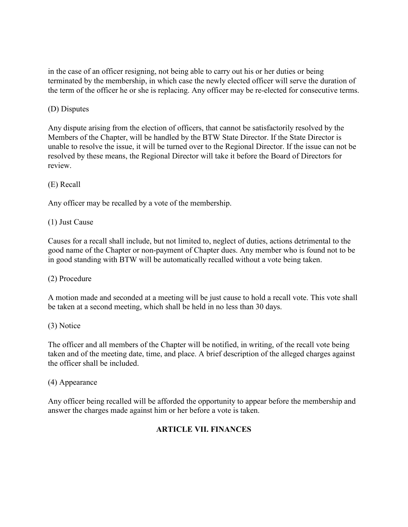in the case of an officer resigning, not being able to carry out his or her duties or being terminated by the membership, in which case the newly elected officer will serve the duration of the term of the officer he or she is replacing. Any officer may be re-elected for consecutive terms.

#### (D) Disputes

Any dispute arising from the election of officers, that cannot be satisfactorily resolved by the Members of the Chapter, will be handled by the BTW State Director. If the State Director is unable to resolve the issue, it will be turned over to the Regional Director. If the issue can not be resolved by these means, the Regional Director will take it before the Board of Directors for review.

#### (E) Recall

Any officer may be recalled by a vote of the membership.

#### (1) Just Cause

Causes for a recall shall include, but not limited to, neglect of duties, actions detrimental to the good name of the Chapter or non-payment of Chapter dues. Any member who is found not to be in good standing with BTW will be automatically recalled without a vote being taken.

#### (2) Procedure

A motion made and seconded at a meeting will be just cause to hold a recall vote. This vote shall be taken at a second meeting, which shall be held in no less than 30 days.

#### (3) Notice

The officer and all members of the Chapter will be notified, in writing, of the recall vote being taken and of the meeting date, time, and place. A brief description of the alleged charges against the officer shall be included.

#### (4) Appearance

Any officer being recalled will be afforded the opportunity to appear before the membership and answer the charges made against him or her before a vote is taken.

#### ARTICLE VII. FINANCES